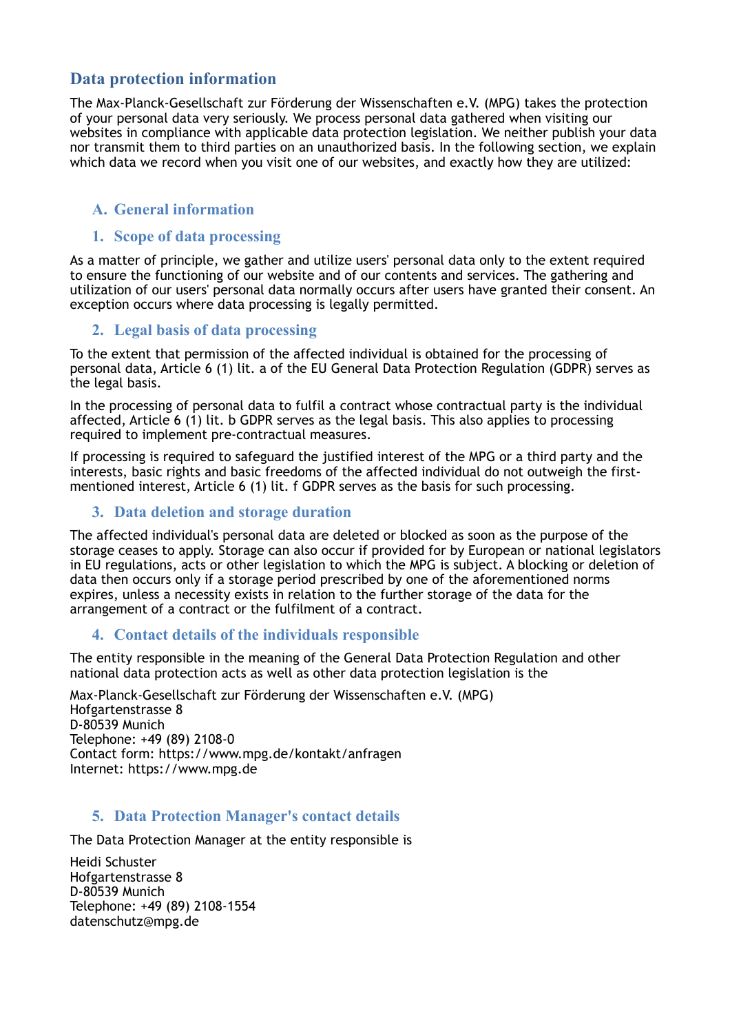# **Data protection information**

The Max-Planck-Gesellschaft zur Förderung der Wissenschaften e.V. (MPG) takes the protection of your personal data very seriously. We process personal data gathered when visiting our websites in compliance with applicable data protection legislation. We neither publish your data nor transmit them to third parties on an unauthorized basis. In the following section, we explain which data we record when you visit one of our websites, and exactly how they are utilized:

## **A. General information**

#### **1. Scope of data processing**

As a matter of principle, we gather and utilize users' personal data only to the extent required to ensure the functioning of our website and of our contents and services. The gathering and utilization of our users' personal data normally occurs after users have granted their consent. An exception occurs where data processing is legally permitted.

#### **2. Legal basis of data processing**

To the extent that permission of the affected individual is obtained for the processing of personal data, Article 6 (1) lit. a of the EU General Data Protection Regulation (GDPR) serves as the legal basis.

In the processing of personal data to fulfil a contract whose contractual party is the individual affected, Article 6 (1) lit. b GDPR serves as the legal basis. This also applies to processing required to implement pre-contractual measures.

If processing is required to safeguard the justified interest of the MPG or a third party and the interests, basic rights and basic freedoms of the affected individual do not outweigh the firstmentioned interest, Article 6 (1) lit. f GDPR serves as the basis for such processing.

#### **3. Data deletion and storage duration**

The affected individual's personal data are deleted or blocked as soon as the purpose of the storage ceases to apply. Storage can also occur if provided for by European or national legislators in EU regulations, acts or other legislation to which the MPG is subject. A blocking or deletion of data then occurs only if a storage period prescribed by one of the aforementioned norms expires, unless a necessity exists in relation to the further storage of the data for the arrangement of a contract or the fulfilment of a contract.

#### **4. Contact details of the individuals responsible**

The entity responsible in the meaning of the General Data Protection Regulation and other national data protection acts as well as other data protection legislation is the

Max-Planck-Gesellschaft zur Förderung der Wissenschaften e.V. (MPG) Hofgartenstrasse 8 D-80539 Munich Telephone: +49 (89) 2108-0 Contact form: https://www.mpg.de/kontakt/anfragen Internet: https://www.mpg.de

#### **5. Data Protection Manager's contact details**

The Data Protection Manager at the entity responsible is

Heidi Schuster Hofgartenstrasse 8 D-80539 Munich Telephone: +49 (89) 2108-1554 datenschutz@mpg.de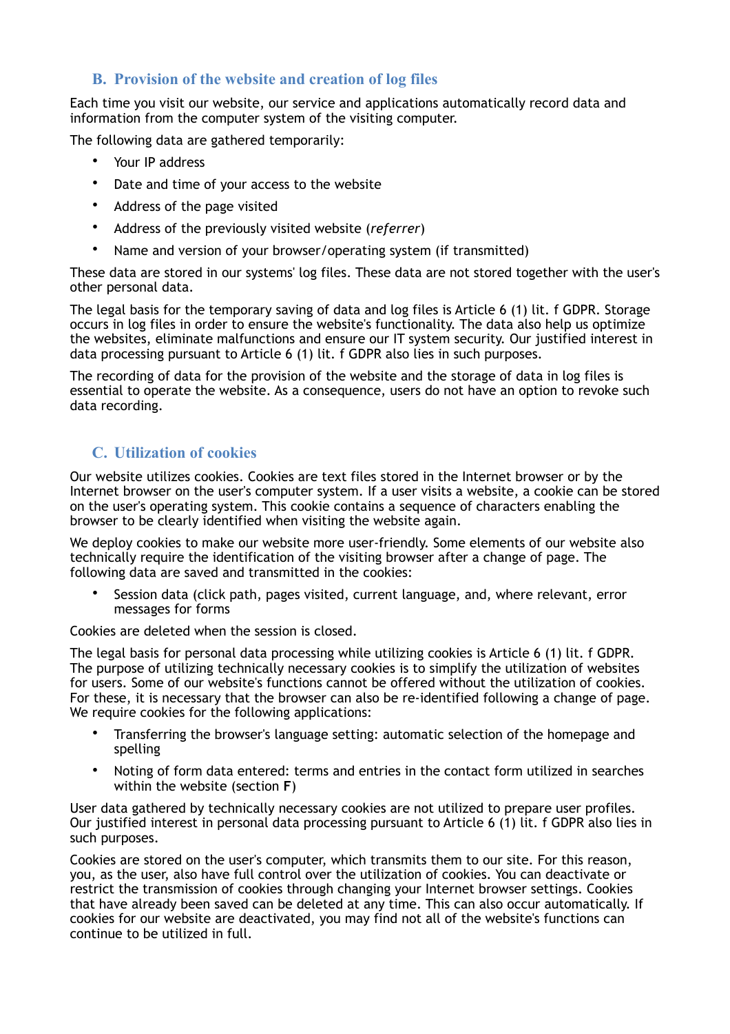### **B. Provision of the website and creation of log files**

Each time you visit our website, our service and applications automatically record data and information from the computer system of the visiting computer.

The following data are gathered temporarily:

- Your IP address
- Date and time of your access to the website
- Address of the page visited
- Address of the previously visited website (*referrer*)
- Name and version of your browser/operating system (if transmitted)

These data are stored in our systems' log files. These data are not stored together with the user's other personal data.

The legal basis for the temporary saving of data and log files is Article 6 (1) lit. f GDPR. Storage occurs in log files in order to ensure the website's functionality. The data also help us optimize the websites, eliminate malfunctions and ensure our IT system security. Our justified interest in data processing pursuant to Article 6 (1) lit. f GDPR also lies in such purposes.

The recording of data for the provision of the website and the storage of data in log files is essential to operate the website. As a consequence, users do not have an option to revoke such data recording.

# **C. Utilization of cookies**

Our website utilizes cookies. Cookies are text files stored in the Internet browser or by the Internet browser on the user's computer system. If a user visits a website, a cookie can be stored on the user's operating system. This cookie contains a sequence of characters enabling the browser to be clearly identified when visiting the website again.

We deploy cookies to make our website more user-friendly. Some elements of our website also technically require the identification of the visiting browser after a change of page. The following data are saved and transmitted in the cookies:

• Session data (click path, pages visited, current language, and, where relevant, error messages for forms

Cookies are deleted when the session is closed.

The legal basis for personal data processing while utilizing cookies is Article 6 (1) lit. f GDPR. The purpose of utilizing technically necessary cookies is to simplify the utilization of websites for users. Some of our website's functions cannot be offered without the utilization of cookies. For these, it is necessary that the browser can also be re-identified following a change of page. We require cookies for the following applications:

- Transferring the browser's language setting: automatic selection of the homepage and spelling
- Noting of form data entered: terms and entries in the contact form utilized in searches within the website (section **F**)

User data gathered by technically necessary cookies are not utilized to prepare user profiles. Our justified interest in personal data processing pursuant to Article 6 (1) lit. f GDPR also lies in such purposes.

Cookies are stored on the user's computer, which transmits them to our site. For this reason, you, as the user, also have full control over the utilization of cookies. You can deactivate or restrict the transmission of cookies through changing your Internet browser settings. Cookies that have already been saved can be deleted at any time. This can also occur automatically. If cookies for our website are deactivated, you may find not all of the website's functions can continue to be utilized in full.